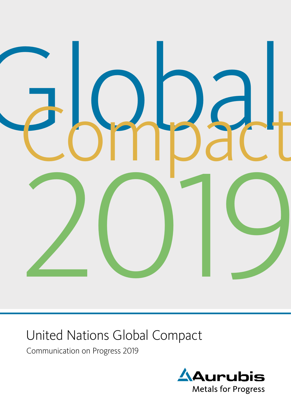

# United Nations Global Compact

Communication on Progress 2019

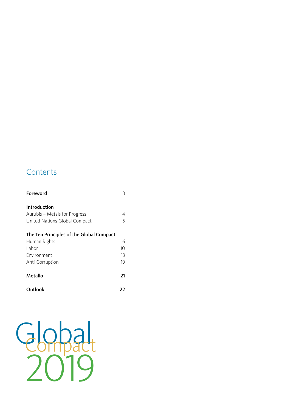### **Contents**

| Foreword                                 | 3  |  |
|------------------------------------------|----|--|
| Introduction                             |    |  |
| Aurubis - Metals for Progress            | 4  |  |
| United Nations Global Compact            | 5  |  |
| The Ten Principles of the Global Compact |    |  |
| Human Rights                             | 6  |  |
| I abor                                   | 10 |  |
| Environment                              | 13 |  |
| Anti-Corruption                          | 19 |  |
| Metallo                                  | 21 |  |
| Outlook                                  | 77 |  |

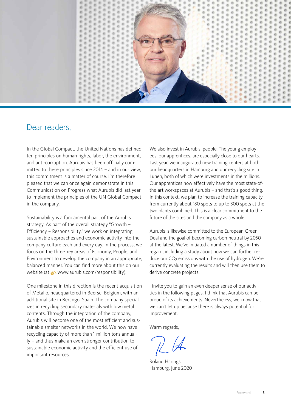<span id="page-2-0"></span>

### Dear readers,

In the Global Compact, the United Nations has defined ten principles on human rights, labor, the environment, and anti-corruption. Aurubis has been officially committed to these principles since 2014 – and in our view, this commitment is a matter of course. I'm therefore pleased that we can once again demonstrate in this Communication on Progress what Aurubis did last year to implement the principles of the UN Global Compact in the company.

Sustainability is a fundamental part of the Aurubis strategy. As part of the overall strategy "Growth – Efficiency – Responsibility," we work on integrating sustainable approaches and economic activity into the company culture each and every day. In the process, we focus on the three key areas of Economy, People, and Environment to develop the company in an appropriate, balanced manner. You can find more about this on our website (at  $\sqrt{2}$  [www.aurubis.com/responsibility\)](https://www.aurubis.com/en/responsibility/overview).

One milestone in this direction is the recent acquisition of Metallo, headquartered in Beerse, Belgium, with an additional site in Berango, Spain. The company specializes in recycling secondary materials with low metal contents. Through the integration of the company, Aurubis will become one of the most efficient and sustainable smelter networks in the world. We now have recycling capacity of more than 1 million tons annually – and thus make an even stronger contribution to sustainable economic activity and the efficient use of important resources.

We also invest in Aurubis' people. The young employees, our apprentices, are especially close to our hearts. Last year, we inaugurated new training centers at both our headquarters in Hamburg and our recycling site in Lünen, both of which were investments in the millions. Our apprentices now effectively have the most state-ofthe-art workspaces at Aurubis – and that's a good thing. In this context, we plan to increase the training capacity from currently about 180 spots to up to 300 spots at the two plants combined. This is a clear commitment to the future of the sites and the company as a whole.

Aurubis is likewise committed to the European Green Deal and the goal of becoming carbon-neutral by 2050 at the latest. We've initiated a number of things in this regard, including a study about how we can further reduce our  $CO<sub>2</sub>$  emissions with the use of hydrogen. We're currently evaluating the results and will then use them to derive concrete projects.

I invite you to gain an even deeper sense of our activities in the following pages. I think that Aurubis can be proud of its achievements. Nevertheless, we know that we can't let up because there is always potential for improvement.

Warm regards,

Roland Harings Hamburg, June 2020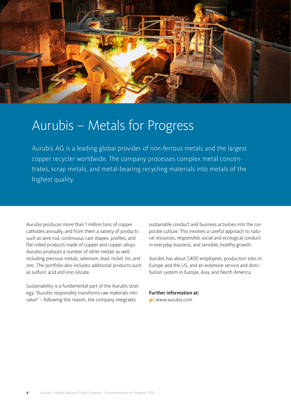<span id="page-3-0"></span>

## Aurubis – Metals for Progress

Aurubis AG is a leading global provider of non-ferrous metals and the largest copper recycler worldwide. The company processes complex metal concentrates, scrap metals, and metal-bearing recycling materials into metals of the highest quality.

Aurubis produces more than 1 million tons of copper cathodes annually, and from them a variety of products such as wire rod, continuous cast shapes, profiles, and flat rolled products made of copper and copper alloys. Aurubis produces a number of other metals as well, including precious metals, selenium, lead, nickel, tin, and zinc. The portfolio also includes additional products such as sulfuric acid and iron silicate.

Sustainability is a fundamental part of the Aurubis strategy. "Aurubis responsibly transforms raw materials into value" – following this maxim, the company integrates

sustainable conduct and business activities into the corporate culture. This involves a careful approach to natural resources, responsible social and ecological conduct in everyday business, and sensible, healthy growth.

Aurubis has about 7,400 employees, production sites in Europe and the US, and an extensive service and distribution system in Europe, Asia, and North America.

Further information at: [www.aurubis.com](https://www.aurubis.com/en)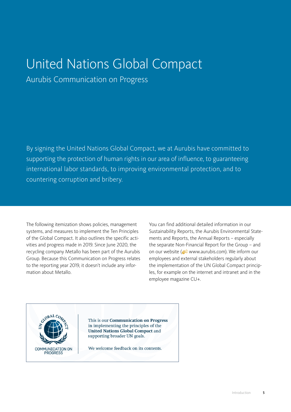# <span id="page-4-0"></span>United Nations Global Compact

Aurubis Communication on Progress

By signing the United Nations Global Compact, we at Aurubis have committed to supporting the protection of human rights in our area of influence, to guaranteeing international labor standards, to improving environmental protection, and to countering corruption and bribery.

The following itemization shows policies, management systems, and measures to implement the Ten Principles of the Global Compact. It also outlines the specific activities and progress made in 2019. Since June 2020, the recycling company Metallo has been part of the Aurubis Group. Because this Communication on Progress relates to the reporting year 2019, it doesn't include any information about Metallo.

You can find additional detailed information in our Sustainability Reports, the Aurubis Environmental Statements and Reports, the Annual Reports – especially the separate Non-Financial Report for the Group – and on our website ( $\bigcirc$ 2 [www.aurubis.com\)](https://www.aurubis.com/en). We inform our employees and external stakeholders regularly about the implementation of the UN Global Compact principles, for example on the internet and intranet and in the employee magazine CU+.

GLOBAL C **COMMUNICATION ON PROGRESS** 

This is our Communication on Progress in implementing the principles of the **United Nations Global Compact and** supporting broader UN goals.

We welcome feedback on its contents.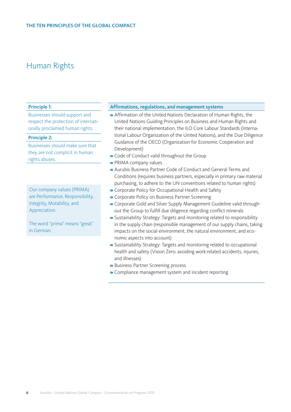#### <span id="page-5-0"></span>Principle 1:

Businesses should support and respect the protection of internationally proclaimed human rights.

#### Principle 2:

Businesses should make sure that they are not complicit in human rights abuses.

Our company values (PRIMA) are Performance, Responsibility, Integrity, Mutability, and Appreciation.

The word "prima" means "great" in German.

#### Affirmations, regulations, and management systems

- » Affirmation of the United Nations Declaration of Human Rights, the United Nations Guiding Principles on Business and Human Rights and their national implementation, the ILO Core Labour Standards (International Labour Organization of the United Nations), and the Due Diligence Guidance of the OECD (Organization for Economic Cooperation and Development)
- » Code of Conduct valid throughout the Group
- » PRIMA company values
- » Aurubis Business Partner Code of Conduct and General Terms and Conditions (requires business partners, especially in primary raw material purchasing, to adhere to the UN conventions related to human rights)
- » Corporate Policy for Occupational Health and Safety
- » Corporate Policy on Business Partner Screening
- » Corporate Gold and Silver Supply Management Guideline valid throughout the Group to fulfill due diligence regarding conflict minerals
- » Sustainability Strategy: Targets and monitoring related to responsibility in the supply chain (responsible management of our supply chains, taking impacts on the social environment, the natural environment, and economic aspects into account)
- » Sustainability Strategy: Targets and monitoring related to occupational health and safety (Vision Zero: avoiding work-related accidents, injuries, and illnesses)
- » Business Partner Screening process
- » Compliance management system and incident reporting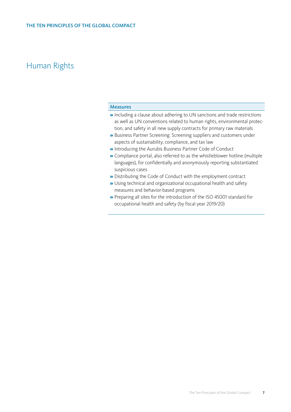#### Measures

- » Including a clause about adhering to UN sanctions and trade restrictions as well as UN conventions related to human rights, environmental protection, and safety in all new supply contracts for primary raw materials
- » Business Partner Screening: Screening suppliers and customers under aspects of sustainability, compliance, and tax law
- » Introducing the Aurubis Business Partner Code of Conduct
- » Compliance portal, also referred to as the whistleblower hotline (multiple languages), for confidentially and anonymously reporting substantiated suspicious cases
- » Distributing the Code of Conduct with the employment contract
- » Using technical and organizational occupational health and safety measures and behavior-based programs
- » Preparing all sites for the introduction of the ISO 45001 standard for occupational health and safety (by fiscal year 2019/20)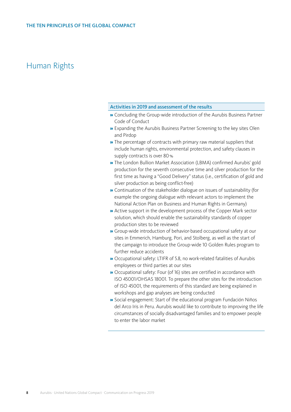#### Activities in 2019 and assessment of the results

- » Concluding the Group-wide introduction of the Aurubis Business Partner Code of Conduct
- » Expanding the Aurubis Business Partner Screening to the key sites Olen and Pirdop
- » The percentage of contracts with primary raw material suppliers that include human rights, environmental protection, and safety clauses in supply contracts is over 80%
- » The London Bullion Market Association (LBMA) confirmed Aurubis' gold production for the seventh consecutive time and silver production for the first time as having a "Good Delivery" status (i.e., certification of gold and silver production as being conflict-free)
- » Continuation of the stakeholder dialogue on issues of sustainability (for example the ongoing dialogue with relevant actors to implement the National Action Plan on Business and Human Rights in Germany)
- » Active support in the development process of the Copper Mark sector solution, which should enable the sustainability standards of copper production sites to be reviewed
- » Group-wide introduction of behavior-based occupational safety at our sites in Emmerich, Hamburg, Pori, and Stolberg, as well as the start of the campaign to introduce the Group-wide 10 Golden Rules program to further reduce accidents
- » Occupational safety: LTIFR of 5.8, no work-related fatalities of Aurubis employees or third parties at our sites
- » Occupational safety: Four (of 16) sites are certified in accordance with ISO 45001/OHSAS 18001. To prepare the other sites for the introduction of ISO 45001, the requirements of this standard are being explained in workshops and gap analyses are being conducted
- » Social engagement: Start of the educational program Fundación Niños del Arco Iris in Peru. Aurubis would like to contribute to improving the life circumstances of socially disadvantaged families and to empower people to enter the labor market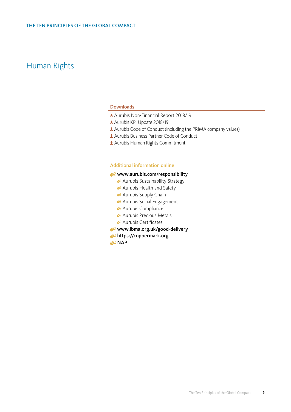#### Downloads

- [Aurubis Non-Financial Report 2018/19](https://www.aurubis.com/binaries/content/assets/aurubisrelaunch/files/finanzberichte-de/2018-19/q4/aurubis_non-financial-report_annual-report_18_19.pdf)
- [Aurubis KPI Update 2018/19](https://www.aurubis.com/binaries/content/assets/aurubisrelaunch/files/verantwortung/2018-19/aurubis-sustainability-kpi-update-2018_19-.pdf)
- **Ł** [Aurubis Code of Conduct \(including the PRIMA company values\)](https://www.aurubis.com/binaries/content/assets/aurubis-en/dateien/responsibility/code-of-conduct/_2019_09_aurubis-verhaltenskodex-en_neu.pdf)
- [Aurubis Business Partner Code of Conduct](https://www.aurubis.com/binaries/content/assets/aurubisrelaunch/files/verantwortung/verhaltenskodex/aurubis_business_partner_code_of_conduct_en.pdf)
- [Aurubis Human Rights Commitment](https://www.aurubis.com/binaries/content/assets/aurubisrelaunch/files/verantwortung/aurubis_human-rights-commitment_2020_06.pdf)

#### Additional information online

#### www.aurubis.com/responsibility

- [Aurubis Sustainability Strategy](https://www.aurubis.com/en/responsibility/sustainability-management/overview-sustainability-strategy)
- [Aurubis Health and Safety](https://www.aurubis.com/en/responsibility-x/employees-and-society/occupational-safety-and-health)
- [Aurubis Supply Chain](https://www.aurubis.com/en/responsibility/supply-chain/overview-supply-chain)
- <sup>8</sup> [Aurubis Social Engagement](https://www.aurubis.com/en/responsibility/social-engagement/social-engagement-overview)
- [Aurubis Compliance](https://www.aurubis.com/en/about-aurubis/corporate-governance/compliance)
- <sup>2</sup> [Aurubis Precious Metals](https://www.aurubis.com/en/products/page-precious-metals)
- [Aurubis Certificates](https://www.aurubis.com/en/download-center/all?filter1=resp_documents_certificates&filter2=all)
- [www.lbma.org.uk/good-delivery](http://www.lbma.org.uk/good-delivery)
- <https://coppermark.org>
- **R** [NAP](https://www.csr-in-deutschland.de/EN/Business-Human-Rights/About-the-NAP/about-the-nap.html)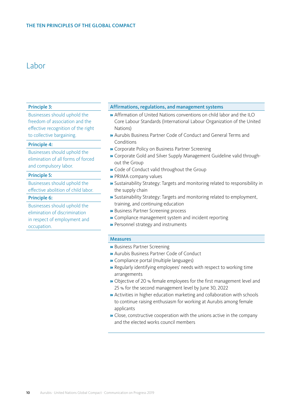### <span id="page-9-0"></span>Labor

#### Principle 3:

Businesses should uphold the freedom of association and the effective recognition of the right to collective bargaining.

#### Principle 4:

Businesses should uphold the elimination of all forms of forced and compulsory labor.

#### Principle 5:

Businesses should uphold the effective abolition of child labor.

#### Principle 6:

Businesses should uphold the elimination of discrimination in respect of employment and occupation.

#### Affirmations, regulations, and management systems

- » Affirmation of United Nations conventions on child labor and the ILO Core Labour Standards (International Labour Organization of the United Nations)
- » Aurubis Business Partner Code of Conduct and General Terms and Conditions
- » Corporate Policy on Business Partner Screening
- » Corporate Gold and Silver Supply Management Guideline valid throughout the Group
- » Code of Conduct valid throughout the Group
- » PRIMA company values
- » Sustainability Strategy: Targets and monitoring related to responsibility in the supply chain
- » Sustainability Strategy: Targets and monitoring related to employment, training, and continuing education
- » Business Partner Screening process
- » Compliance management system and incident reporting
- » Personnel strategy and instruments

#### Measures

- » Business Partner Screening
- » Aurubis Business Partner Code of Conduct
- » Compliance portal (multiple languages)
- » Regularly identifying employees' needs with respect to working time arrangements
- » Objective of 20 % female employees for the first management level and 25 % for the second management level by June 30, 2022
- » Activities in higher education marketing and collaboration with schools to continue raising enthusiasm for working at Aurubis among female applicants
- » Close, constructive cooperation with the unions active in the company and the elected works council members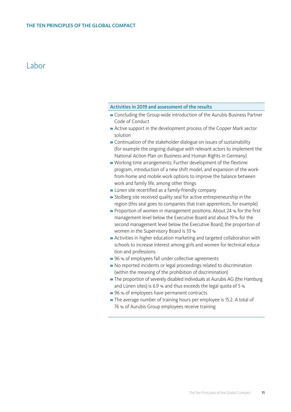### Labor

#### Activities in 2019 and assessment of the results

- » Concluding the Group-wide introduction of the Aurubis Business Partner Code of Conduct
- » Active support in the development process of the Copper Mark sector solution
- » Continuation of the stakeholder dialogue on issues of sustainability (for example the ongoing dialogue with relevant actors to implement the National Action Plan on Business and Human Rights in Germany)
- » Working time arrangements: Further development of the flextime program, introduction of a new shift model, and expansion of the workfrom-home and mobile work options to improve the balance between work and family life, among other things
- » Lünen site recertified as a family-friendly company
- » Stolberg site received quality seal for active entrepreneurship in the region (this seal goes to companies that train apprentices, for example)
- **»** Proportion of women in management positions: About 24 % for the first management level below the Executive Board and about 19% for the second management level below the Executive Board; the proportion of women in the Supervisory Board is 33 %
- » Activities in higher education marketing and targeted collaboration with schools to increase interest among girls and women for technical education and professions
- » 96 % of employees fall under collective agreements
- » No reported incidents or legal proceedings related to discrimination (within the meaning of the prohibition of discrimination)
- » The proportion of severely disabled individuals at Aurubis AG (the Hamburg and Lünen sites) is 6.9 % and thus exceeds the legal quota of 5 %
- » 96 % of employees have permanent contracts
- » The average number of training hours per employee is 15.2. A total of 76 % of Aurubis Group employees receive training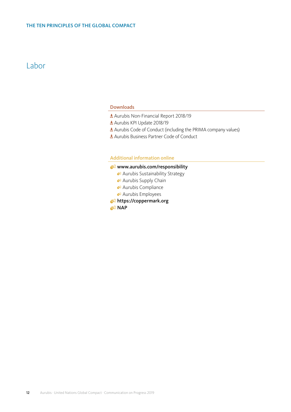### Labor

#### Downloads

- [Aurubis Non-Financial Report 2018/19](https://www.aurubis.com/binaries/content/assets/aurubisrelaunch/files/finanzberichte-de/2018-19/q4/aurubis_non-financial-report_annual-report_18_19.pdf)
- [Aurubis KPI Update 2018/19](https://www.aurubis.com/binaries/content/assets/aurubisrelaunch/files/verantwortung/2018-19/aurubis-sustainability-kpi-update-2018_19-.pdf)
- **Ł** [Aurubis Code of Conduct \(including the PRIMA company values\)](https://www.aurubis.com/binaries/content/assets/aurubis-en/dateien/responsibility/code-of-conduct/_2019_09_aurubis-verhaltenskodex-en_neu.pdf)
- [Aurubis Business Partner Code of Conduct](https://www.aurubis.com/binaries/content/assets/aurubisrelaunch/files/verantwortung/verhaltenskodex/aurubis_business_partner_code_of_conduct_en.pdf)

#### Additional information online

#### www.aurubis.com/responsibility

- [Aurubis Sustainability Strategy](https://www.aurubis.com/en/responsibility/sustainability-management/overview-sustainability-strategy)
- **Aurubis Supply Chain**
- [Aurubis Compliance](https://www.aurubis.com/en/about-aurubis/corporate-governance/compliance)
- [Aurubis Employees](https://www.aurubis.com/en/responsibility-x/employees-and-society/employees)
- <https://coppermark.org>

82 [NAP](https://www.csr-in-deutschland.de/EN/Business-Human-Rights/About-the-NAP/about-the-nap.html)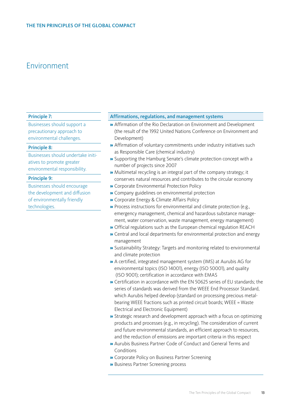#### <span id="page-12-0"></span>Principle 7:

Businesses should support a precautionary approach to environmental challenges.

#### Principle 8:

Businesses should undertake initiatives to promote greater environmental responsibility.

#### Principle 9:

Businesses should encourage the development and diffusion of environmentally friendly technologies.

#### Affirmations, regulations, and management systems

- » Affirmation of the Rio Declaration on Environment and Development (the result of the 1992 United Nations Conference on Environment and Development)
- » Affirmation of voluntary commitments under industry initiatives such as Responsible Care (chemical industry)
- » Supporting the Hamburg Senate's climate protection concept with a number of projects since 2007
- » Multimetal recycling is an integral part of the company strategy; it conserves natural resources and contributes to the circular economy
- » Corporate Environmental Protection Policy
- » Company guidelines on environmental protection
- » Corporate Energy & Climate Affairs Policy
- » Process instructions for environmental and climate protection (e.g., emergency management, chemical and hazardous substance management, water conservation, waste management, energy management)
- » Official regulations such as the European chemical regulation REACH
- » Central and local departments for environmental protection and energy management
- » Sustainability Strategy: Targets and monitoring related to environmental and climate protection
- » A certified, integrated management system (IMS) at Aurubis AG for environmental topics (ISO 14001), energy (ISO 50001), and quality (ISO 9001); certification in accordance with EMAS
- » Certification in accordance with the EN 50625 series of EU standards; the series of standards was derived from the WEEE End Processor Standard, which Aurubis helped develop (standard on processing precious metalbearing WEEE fractions such as printed circuit boards; WEEE = Waste Electrical and Electronic Equipment)
- » Strategic research and development approach with a focus on optimizing products and processes (e.g., in recycling). The consideration of current and future environmental standards, an efficient approach to resources, and the reduction of emissions are important criteria in this respect
- » Aurubis Business Partner Code of Conduct and General Terms and Conditions
- » Corporate Policy on Business Partner Screening
- » Business Partner Screening process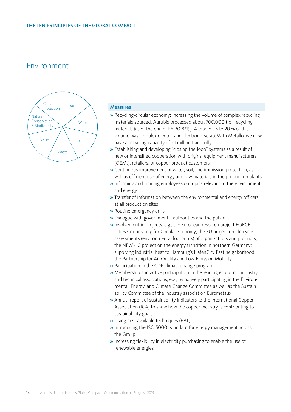

#### Measures

- » Recycling/circular economy: Increasing the volume of complex recycling materials sourced. Aurubis processed about 700,000 t of recycling materials (as of the end of FY 2018/19). A total of 15 to 20 % of this volume was complex electric and electronic scrap. With Metallo, we now have a recycling capacity of > 1 million t annually
- » Establishing and developing "closing-the-loop" systems as a result of new or intensified cooperation with original equipment manufacturers (OEMs), retailers, or copper product customers
- » Continuous improvement of water, soil, and immission protection, as well as efficient use of energy and raw materials in the production plants
- » Informing and training employees on topics relevant to the environment and energy
- » Transfer of information between the environmental and energy officers at all production sites
- » Routine emergency drills
- » Dialogue with governmental authorities and the public
- » Involvement in projects: e.g., the European research project FORCE Cities Cooperating for Circular Economy; the EU project on life cycle assessments (environmental footprints) of organizations and products; the NEW 4.0 project on the energy transition in northern Germany; supplying industrial heat to Hamburg's HafenCity East neighborhood; the Partnership for Air Quality and Low-Emission Mobility
- » Participation in the CDP climate change program
- » Membership and active participation in the leading economic, industry, and technical associations, e.g., by actively participating in the Environmental, Energy, and Climate Change Committee as well as the Sustainability Committee of the industry association Eurometaux
- » Annual report of sustainability indicators to the International Copper Association (ICA) to show how the copper industry is contributing to sustainability goals
- » Using best available techniques (BAT)
- » Introducing the ISO 50001 standard for energy management across the Group
- » Increasing flexibility in electricity purchasing to enable the use of renewable energies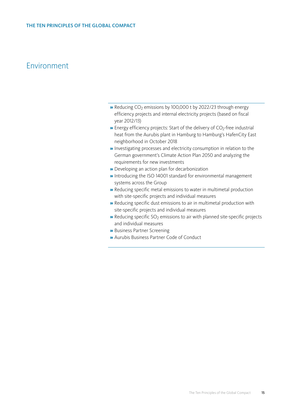- » Reducing CO<sub>2</sub> emissions by 100,000 t by 2022/23 through energy efficiency projects and internal electricity projects (based on fiscal year 2012/13)
- $\rightarrow$  Energy efficiency projects: Start of the delivery of CO<sub>2</sub>-free industrial heat from the Aurubis plant in Hamburg to Hamburg's HafenCity East neighborhood in October 2018
- » Investigating processes and electricity consumption in relation to the German government's Climate Action Plan 2050 and analyzing the requirements for new investments
- » Developing an action plan for decarbonization
- » Introducing the ISO 14001 standard for environmental management systems across the Group
- » Reducing specific metal emissions to water in multimetal production with site-specific projects and individual measures
- » Reducing specific dust emissions to air in multimetal production with site-specific projects and individual measures
- $\rightarrow$  Reducing specific SO<sub>2</sub> emissions to air with planned site-specific projects and individual measures
- » Business Partner Screening
- » Aurubis Business Partner Code of Conduct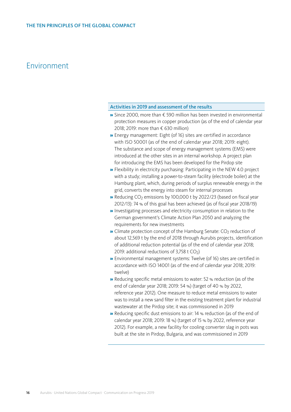#### Activities in 2019 and assessment of the results

- » Since 2000, more than € 590 million has been invested in environmental protection measures in copper production (as of the end of calendar year 2018; 2019: more than € 630 million)
- » Energy management: Eight (of 16) sites are certified in accordance with ISO 50001 (as of the end of calendar year 2018; 2019: eight). The substance and scope of energy management systems (EMS) were introduced at the other sites in an internal workshop. A project plan for introducing the EMS has been developed for the Pirdop site
- » Flexibility in electricity purchasing: Participating in the NEW 4.0 project with a study; installing a power-to-steam facility (electrode boiler) at the Hamburg plant, which, during periods of surplus renewable energy in the grid, converts the energy into steam for internal processes
- » Reducing CO<sub>2</sub> emissions by 100,000 t by 2022/23 (based on fiscal year 2012/13): 74 % of this goal has been achieved (as of fiscal year 2018/19)
- » Investigating processes and electricity consumption in relation to the German government's Climate Action Plan 2050 and analyzing the requirements for new investments
- $\triangleright$  Climate protection concept of the Hamburg Senate: CO<sub>2</sub> reduction of about 12,569 t by the end of 2018 through Aurubis projects, identification of additional reduction potential (as of the end of calendar year 2018; 2019: additional reductions of 3,758 t  $CO<sub>2</sub>$ )
- » Environmental management systems: Twelve (of 16) sites are certified in accordance with ISO 14001 (as of the end of calendar year 2018; 2019: twelve)
- » Reducing specific metal emissions to water: 52 % reduction (as of the end of calendar year 2018; 2019: 54 %) (target of 40 % by 2022, reference year 2012). One measure to reduce metal emissions to water was to install a new sand filter in the existing treatment plant for industrial wastewater at the Pirdop site; it was commissioned in 2019
- » Reducing specific dust emissions to air: 14 % reduction (as of the end of calendar year 2018; 2019: 18 %) (target of 15 % by 2022, reference year 2012). For example, a new facility for cooling converter slag in pots was built at the site in Pirdop, Bulgaria, and was commissioned in 2019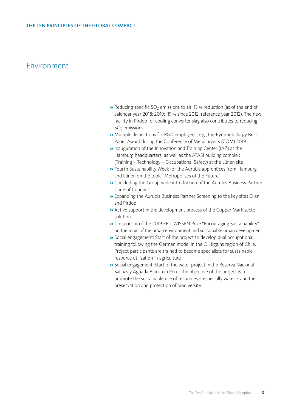- $\rightarrow$  Reducing specific SO<sub>2</sub> emissions to air: 13 % reduction (as of the end of calendar year 2018; 2019: -19 % since 2012; reference year 2012). The new facility in Pirdop for cooling converter slag also contributes to reducing  $SO<sub>2</sub>$  emissions
- » Multiple distinctions for R&D employees, e.g., the Pyrometallurgy Best Paper Award during the Conference of Metallurgists (COM) 2019
- » Inauguration of the Innovation and Training Center (IAZ) at the Hamburg headquarters, as well as the ATASI building complex (Training – Technology – Occupational Safety) at the Lünen site
- » Fourth Sustainability Week for the Aurubis apprentices from Hamburg and Lünen on the topic "Metropolises of the Future"
- » Concluding the Group-wide introduction of the Aurubis Business Partner Code of Conduct
- » Expanding the Aurubis Business Partner Screening to the key sites Olen and Pirdop
- » Active support in the development process of the Copper Mark sector solution
- » Co-sponsor of the 2019 ZEIT WISSEN Prize "Encouraging Sustainability" on the topic of the urban environment and sustainable urban development
- » Social engagement: Start of the project to develop dual occupational training following the German model in the O'Higgins region of Chile. Project participants are trained to become specialists for sustainable resource utilization in agriculture
- » Social engagement: Start of the water project in the Reserva Nacional Salinas y Aguada Blanca in Peru. The objective of the project is to promote the sustainable use of resources – especially water – and the preservation and protection of biodiversity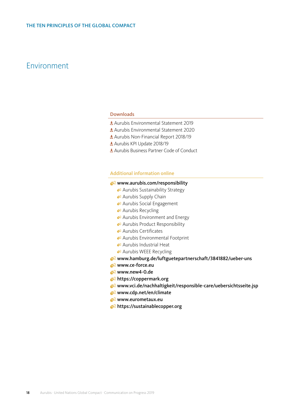#### Downloads

- [Aurubis Environmental Statement 2019](https://www.aurubis.com/binaries/content/assets/aurubis-en/dateien/responsibility/environmental-statement/2019_aurubis_ag_environmental_statement_en.pdf)
- Aurubis Environmental Statement 2020
- [Aurubis Non-Financial Report 2018/19](https://www.aurubis.com/binaries/content/assets/aurubisrelaunch/files/finanzberichte-de/2018-19/q4/aurubis_non-financial-report_annual-report_18_19.pdf)
- [Aurubis KPI Update 2018/19](https://www.aurubis.com/binaries/content/assets/aurubisrelaunch/files/verantwortung/2018-19/aurubis-sustainability-kpi-update-2018_19-.pdf)
- [Aurubis Business Partner Code of Conduct](https://www.aurubis.com/binaries/content/assets/aurubisrelaunch/files/verantwortung/verhaltenskodex/aurubis_business_partner_code_of_conduct_en.pdf)

#### Additional information online

#### www.aurubis.com/responsibility

- [Aurubis Sustainability Strategy](https://www.aurubis.com/en/responsibility/sustainability-management/overview-sustainability-strategy)
- [Aurubis Supply Chain](https://www.aurubis.com/en/responsibility/supply-chain/overview-supply-chain)
- <sup>82</sup> [Aurubis Social Engagement](https://www.aurubis.com/en/responsibility/social-engagement/social-engagement-overview)
- <sup>2</sup> [Aurubis Recycling](https://www.aurubis.com/en/responsibility/resource-efficiency-and-recycling/overview-responsibility-and-recycling)
- [Aurubis Environment and Energy](https://www.aurubis.com/en/responsibility/environment-and-energy/overview-environment--energy)
- [Aurubis Product Responsibility](https://www.aurubis.com/en/responsibility/product-responsibility/overview)
- [Aurubis Certificates](https://www.aurubis.com/en/download-center/all?filter1=resp_documents_certificates&filter2=all)
- [Aurubis Environmental Footprint](https://www.aurubis.com/en/responsibility-x/environment--energy%5B2%5D/cooperation%5B2%5D/organisational-environmental-footprint)
- [Aurubis Industrial Heat](https://www.aurubis.com/en/responsibility-x/industrialheat-overview)
- <sup>2</sup> [Aurubis WEEE Recycling](https://www.aurubis.com/en/responsibility-x/environment--energy%5B2%5D/cooperation%5B2%5D/weee-recycling-–-and-the-environment-wins)
- [www.hamburg.de/luftguetepartnerschaft/3841882/ueber-uns](https://www.hamburg.de/luftguetepartnerschaft/3841882/ueber-uns/)
- **www.ce-force.eu**
- <sup>√2</sup> [www.new4-0.de](https://www.new4-0.de)
- <https://coppermark.org>
- www.vci.de/nachhaltigkeit/responsible-care/uebersichtsseite.jsp
- [www.cdp.net/en/climate](https://www.cdp.net/en/climate)
- **www.eurometaux.eu**
- **C<https://sustainablecopper.org>**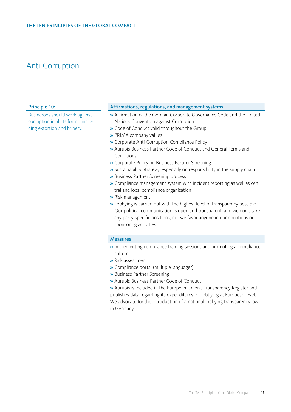### <span id="page-18-0"></span>Anti-Corruption

#### Principle 10:

Businesses should work against corruption in all its forms, including extortion and bribery.

#### Affirmations, regulations, and management systems

- » Affirmation of the German Corporate Governance Code and the United Nations Convention against Corruption
- » Code of Conduct valid throughout the Group
- » PRIMA company values
- » Corporate Anti-Corruption Compliance Policy
- » Aurubis Business Partner Code of Conduct and General Terms and Conditions
- » Corporate Policy on Business Partner Screening
- » Sustainability Strategy, especially on responsibility in the supply chain
- » Business Partner Screening process
- » Compliance management system with incident reporting as well as central and local compliance organization
- » Risk management
- » Lobbying is carried out with the highest level of transparency possible. Our political communication is open and transparent, and we don't take any party-specific positions, nor we favor anyone in our donations or sponsoring activities.

#### Measures

- » Implementing compliance training sessions and promoting a compliance culture
- » Risk assessment
- » Compliance portal (multiple languages)
- » Business Partner Screening
- » Aurubis Business Partner Code of Conduct
- » Aurubis is included in the European Union's Transparency Register and publishes data regarding its expenditures for lobbying at European level. We advocate for the introduction of a national lobbying transparency law in Germany.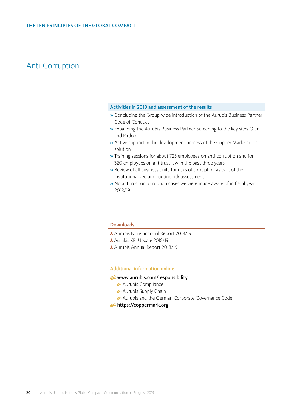### Anti-Corruption

#### Activities in 2019 and assessment of the results

- » Concluding the Group-wide introduction of the Aurubis Business Partner Code of Conduct
- » Expanding the Aurubis Business Partner Screening to the key sites Olen and Pirdop
- » Active support in the development process of the Copper Mark sector solution
- » Training sessions for about 725 employees on anti-corruption and for 320 employees on antitrust law in the past three years
- » Review of all business units for risks of corruption as part of the institutionalized and routine risk assessment
- » No antitrust or corruption cases we were made aware of in fiscal year 2018/19

#### Downloads

- [Aurubis Non-Financial Report 2018/19](https://www.aurubis.com/binaries/content/assets/aurubisrelaunch/files/finanzberichte-de/2018-19/q4/aurubis_non-financial-report_annual-report_18_19.pdf)
- [Aurubis KPI Update 2018/19](https://www.aurubis.com/binaries/content/assets/aurubisrelaunch/files/verantwortung/2018-19/aurubis-sustainability-kpi-update-2018_19-.pdf)
- [Aurubis Annual Report 2018/19](https://www.aurubis.com/binaries/content/assets/aurubisrelaunch/files/finanzberichte-de/2018-19/q4/aurubis_annual-report_fy_18_19_2019_12_11.pdf)

#### Additional information online

#### www.aurubis.com/responsibility

- [Aurubis Compliance](https://www.aurubis.com/en/about-aurubis/corporate-governance/compliance)
- <sup>2</sup> [Aurubis Supply Chain](https://www.aurubis.com/en/responsibility/supply-chain/overview-supply-chain)
- [Aurubis and the German Corporate Governance Code](https://www.aurubis.com/en/about-aurubis/corporate-governance/corporate-governance-code--declarations-of-conformity)
- <https://coppermark.org>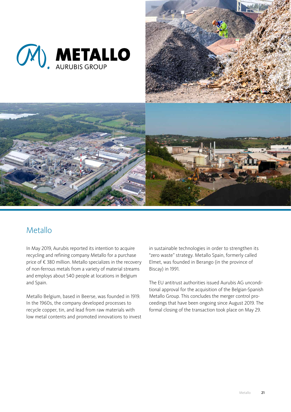<span id="page-20-0"></span>



### Metallo

In May 2019, Aurubis reported its intention to acquire recycling and refining company Metallo for a purchase price of € 380 million. Metallo specializes in the recovery of non-ferrous metals from a variety of material streams and employs about 540 people at locations in Belgium and Spain.

Metallo Belgium, based in Beerse, was founded in 1919. In the 1960s, the company developed processes to recycle copper, tin, and lead from raw materials with low metal contents and promoted innovations to invest in sustainable technologies in order to strengthen its "zero waste" strategy. Metallo Spain, formerly called Elmet, was founded in Berango (in the province of Biscay) in 1991.

The EU antitrust authorities issued Aurubis AG unconditional approval for the acquisition of the Belgian-Spanish Metallo Group. This concludes the merger control proceedings that have been ongoing since August 2019. The formal closing of the transaction took place on May 29.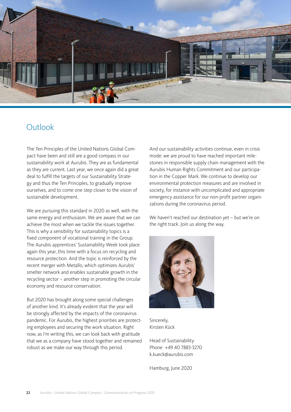<span id="page-21-0"></span>

### Outlook

The Ten Principles of the United Nations Global Compact have been and still are a good compass in our sustainability work at Aurubis. They are as fundamental as they are current. Last year, we once again did a great deal to fulfill the targets of our Sustainability Strategy and thus the Ten Principles, to gradually improve ourselves, and to come one step closer to the vision of sustainable development.

We are pursuing this standard in 2020 as well, with the same energy and enthusiasm. We are aware that we can achieve the most when we tackle the issues together. This is why a sensibility for sustainability topics is a fixed component of vocational training in the Group. The Aurubis apprentices' Sustainability Week took place again this year, this time with a focus on recycling and resource protection. And the topic is reinforced by the recent merger with Metallo, which optimizes Aurubis' smelter network and enables sustainable growth in the recycling sector – another step in promoting the circular economy and resource conservation.

But 2020 has brought along some special challenges of another kind. It's already evident that the year will be strongly affected by the impacts of the coronavirus pandemic. For Aurubis, the highest priorities are protecting employees and securing the work situation. Right now, as I'm writing this, we can look back with gratitude that we as a company have stood together and remained robust as we make our way through this period.

And our sustainability activities continue, even in crisis mode: we are proud to have reached important milestones in responsible supply chain management with the Aurubis Human Rights Commitment and our participation in the Copper Mark. We continue to develop our environmental protection measures and are involved in society, for instance with uncomplicated and appropriate emergency assistance for our non-profit partner organizations during the coronavirus period.

We haven't reached our destination yet – but we're on the right track. Join us along the way.



Sincerely, Kirsten Kück

Head of Sustainability Phone +49 40 7883-3270 k.kueck@aurubis.com

Hamburg, June 2020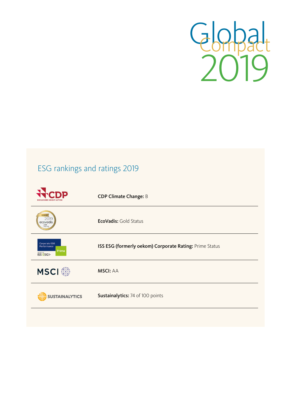

## ESG rankings and ratings 2019

|                                                                            | <b>CDP Climate Change: B</b>                            |
|----------------------------------------------------------------------------|---------------------------------------------------------|
| GOLD<br>2019<br>ecovadis<br>Rating                                         | <b>EcoVadis: Gold Status</b>                            |
| <b>Corporate ESG</b><br>Performance<br>Prime<br>RATED BY<br><b>ISS ESG</b> | ISS ESG (formerly oekom) Corporate Rating: Prime Status |
| <b>MSCI</b> <sup>®</sup>                                                   | <b>MSCI: AA</b>                                         |
| <b>SUSTAINALYTICS</b>                                                      | Sustainalytics: 74 of 100 points                        |
|                                                                            |                                                         |